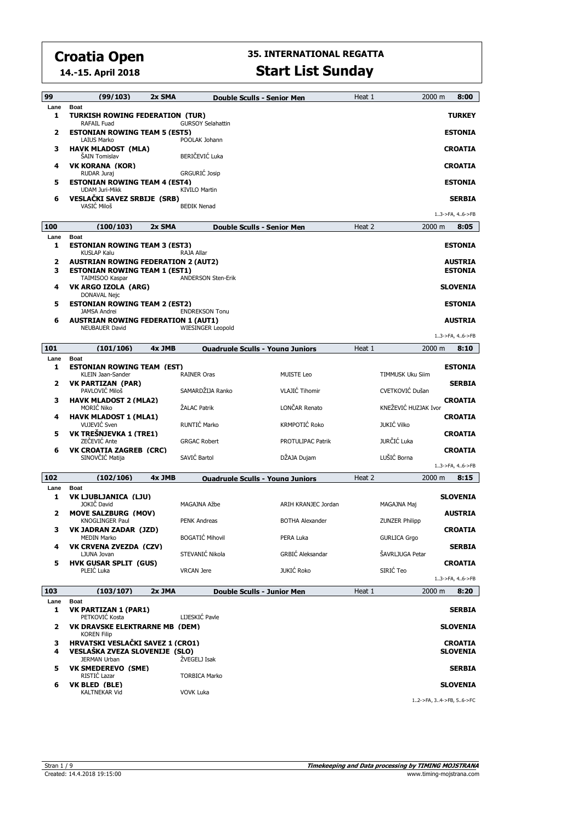**14.-15. April 2018**

| 99        | (99/103)                                                                                                         | 2x SMA |                           | Double Sculls - Senior Men              | Heat 1 | 2000 m                  | 8:00                              |  |
|-----------|------------------------------------------------------------------------------------------------------------------|--------|---------------------------|-----------------------------------------|--------|-------------------------|-----------------------------------|--|
| Lane<br>1 | <b>Boat</b><br>TURKISH ROWING FEDERATION(TUR)<br><b>TURKEY</b><br><b>GURSOY Selahattin</b><br><b>RAFAIL Fuad</b> |        |                           |                                         |        |                         |                                   |  |
| 2         | <b>ESTONIAN ROWING TEAM 5 (EST5)</b><br><b>LAIUS Marko</b>                                                       |        | POOLAK Johann             |                                         |        |                         | <b>ESTONIA</b>                    |  |
| з         | HAVK MLADOST (MLA)<br><b>SAIN Tomislav</b>                                                                       |        | BERIČEVIĆ Luka            |                                         |        |                         | <b>CROATIA</b>                    |  |
| 4         | VK KORANA (KOR)<br>RUDAR Juraj                                                                                   |        | <b>GRGURIĆ Josip</b>      |                                         |        |                         | <b>CROATIA</b>                    |  |
| 5         | <b>ESTONIAN ROWING TEAM 4 (EST4)</b><br><b>UDAM Juri-Mikk</b>                                                    |        | <b>KIVILO Martin</b>      |                                         |        |                         | <b>ESTONIA</b>                    |  |
| 6         | <b>VESLAČKI SAVEZ SRBIJE (SRB)</b><br>VASIĆ Miloš                                                                |        | <b>BEĐIK Nenad</b>        |                                         |        |                         | <b>SERBIA</b>                     |  |
|           |                                                                                                                  |        |                           |                                         |        |                         | 13->FA, 46->FB                    |  |
| 100       | (100/103)                                                                                                        | 2x SMA |                           | <b>Double Sculls - Senior Men</b>       | Heat 2 | 2000 m                  | 8:05                              |  |
| Lane<br>1 | <b>Boat</b><br><b>ESTONIAN ROWING TEAM 3 (EST3)</b><br><b>KUSLAP Kalu</b>                                        |        | RAJA Allar                |                                         |        |                         | <b>ESTONIA</b>                    |  |
| 2<br>3    | <b>AUSTRIAN ROWING FEDERATION 2 (AUT2)</b><br><b>ESTONIAN ROWING TEAM 1 (EST1)</b>                               |        |                           |                                         |        |                         | <b>AUSTRIA</b><br><b>ESTONIA</b>  |  |
| 4         | TAIMISOO Kaspar<br>VK ARGO IZOLA (ARG)                                                                           |        | <b>ANDERSON Sten-Erik</b> |                                         |        |                         | <b>SLOVENIA</b>                   |  |
| 5         | <b>DONAVAL Nejc</b><br><b>ESTONIAN ROWING TEAM 2 (EST2)</b>                                                      |        |                           |                                         |        |                         | <b>ESTONIA</b>                    |  |
| 6         | <b>JAMSA Andrei</b><br><b>AUSTRIAN ROWING FEDERATION 1 (AUT1)</b>                                                |        | <b>ENDREKSON Tonu</b>     |                                         |        |                         | <b>AUSTRIA</b>                    |  |
|           | <b>NEUBAUER David</b>                                                                                            |        | <b>WIESINGER Leopold</b>  |                                         |        |                         | 13->FA, 46->FB                    |  |
| 101       | (101/106)                                                                                                        | 4x JMB |                           | <b>Ouadruple Sculls - Young Juniors</b> | Heat 1 | 2000 m                  | 8:10                              |  |
| Lane<br>1 | <b>Boat</b><br><b>ESTONIAN ROWING TEAM (EST)</b><br><b>KLEIN Jaan-Sander</b>                                     |        | <b>RAINER Oras</b>        | <b>MUISTE Leo</b>                       |        | <b>TIMMUSK Uku Siim</b> | <b>ESTONIA</b>                    |  |
| 2         | <b>VK PARTIZAN (PAR)</b><br>PAVLOVIĆ Miloš                                                                       |        | SAMARDŽIJA Ranko          | <b>VLAJIĆ Tihomir</b>                   |        | CVETKOVIĆ Dušan         | <b>SERBIA</b>                     |  |
| з         | <b>HAVK MLADOST 2 (MLA2)</b><br><b>MORIC Niko</b>                                                                |        | ŽALAC Patrik              | LONCAR Renato                           |        | KNEŽEVIĆ HUZJAK Ivor    | <b>CROATIA</b>                    |  |
| 4         | <b>HAVK MLADOST 1 (MLA1)</b><br><b>VUJEVIC Sven</b>                                                              |        | RUNTIĆ Marko              | <b>KRMPOTIĆ Roko</b>                    |        | <b>JUKIĆ Vilko</b>      | <b>CROATIA</b>                    |  |
| 5         | VK TREŠNJEVKA 1 (TRE1)<br>ZEČEVIĆ Ante                                                                           |        | <b>GRGAC Robert</b>       | PROTULIPAC Patrik                       |        | JURČIĆ Luka             | <b>CROATIA</b>                    |  |
| 6         | <b>VK CROATIA ZAGREB (CRC)</b><br>SINOVČIĆ Matija                                                                |        | SAVIĆ Bartol              | DŽAJA Dujam                             |        | LUŠIĆ Borna             | <b>CROATIA</b>                    |  |
|           |                                                                                                                  |        |                           |                                         |        |                         | 13->FA, 46->FB                    |  |
| 102       | (102/106)                                                                                                        | 4x JMB |                           | <b>Ouadruple Sculls - Young Juniors</b> | Heat 2 | 2000 m                  | 8:15                              |  |
| Lane<br>1 | <b>Boat</b><br>VK LJUBLJANICA (LJU)<br>JOKIČ David                                                               |        | MAGAJNA Ažbe              | ARIH KRANJEC Jordan                     |        | MAGAJNA Maj             | <b>SLOVENIA</b>                   |  |
| 2         | <b>MOVE SALZBURG (MOV)</b><br><b>KNOGLINGER Paul</b>                                                             |        | <b>PENK Andreas</b>       | <b>BOTHA Alexander</b>                  |        | <b>ZUNZER Philipp</b>   | <b>AUSTRIA</b>                    |  |
| з         | VK JADRAN ZADAR  (JZD)<br><b>MEDIN Marko</b>                                                                     |        | <b>BOGATIĆ Mihovil</b>    | PERA Luka                               |        | <b>GURLICA Grgo</b>     | <b>CROATIA</b>                    |  |
| 4         | VK CRVENA ZVEZDA (CZV)<br>LJUNA Jovan                                                                            |        | STEVANIĆ Nikola           | GRBIĆ Aleksandar                        |        | ŠAVRLJUGA Petar         | <b>SERBIA</b>                     |  |
| 5         | <b>HVK GUSAR SPLIT (GUS)</b><br>PLEIĆ Luka                                                                       |        | <b>VRCAN</b> Jere         | <b>JUKIĆ Roko</b>                       |        | SIRIĆ Teo               | <b>CROATIA</b>                    |  |
|           |                                                                                                                  |        |                           |                                         |        |                         | 13->FA, 46->FB                    |  |
| 103       | (103/107)                                                                                                        | 2x JMA |                           | Double Sculls - Junior Men              | Heat 1 | 2000 m                  | 8:20                              |  |
| Lane<br>1 | Boat<br><b>VK PARTIZAN 1 (PAR1)</b><br>PETKOVIĆ Kosta                                                            |        | LIJESKIĆ Pavle            |                                         |        |                         | <b>SERBIA</b>                     |  |
| 2         | <b>VK DRAVSKE ELEKTRARNE MB (DEM)</b><br><b>KOREN Filip</b>                                                      |        |                           |                                         |        |                         | <b>SLOVENIA</b>                   |  |
| з<br>4    | HRVATSKI VESLAČKI SAVEZ 1 (CRO1)<br>VESLAŠKA ZVEZA SLOVENIJE (SLO)                                               |        |                           |                                         |        |                         | <b>CROATIA</b><br><b>SLOVENIA</b> |  |
| 5         | <b>JERMAN Urban</b><br><b>VK SMEDEREVO (SME)</b>                                                                 |        | ŽVEGELJ Isak              |                                         |        |                         | <b>SERBIA</b>                     |  |
| 6         | RISTIC Lazar<br>VK BLED (BLE)                                                                                    |        | <b>TORBICA Marko</b>      |                                         |        |                         | <b>SLOVENIA</b>                   |  |
|           | <b>KALTNEKAR Vid</b>                                                                                             |        | <b>VOVK Luka</b>          |                                         |        | 12->FA, 34->FB, 56->FC  |                                   |  |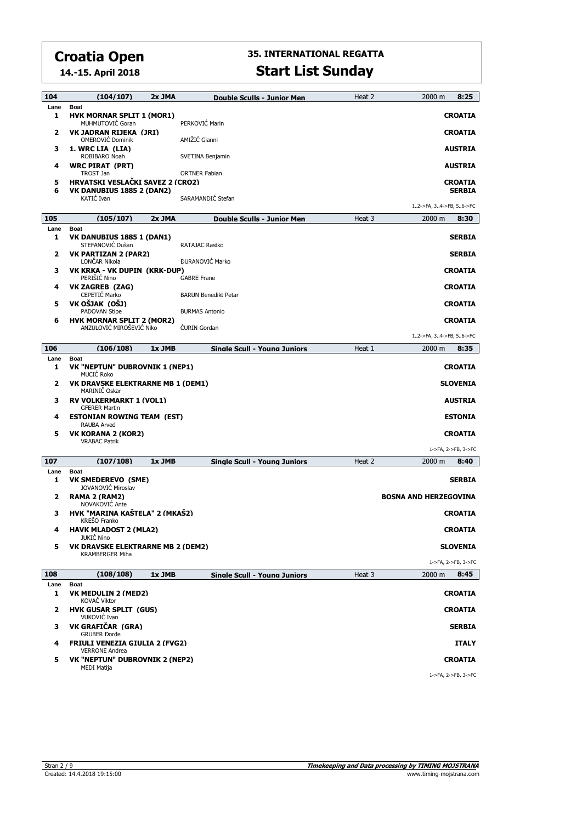**14.-15. April 2018**

| 104         | (104/107)                                                            | 2x JMA | <b>Double Sculls - Junior Men</b>   | Heat 2 | 8:25<br>2000 m                           |
|-------------|----------------------------------------------------------------------|--------|-------------------------------------|--------|------------------------------------------|
| Lane<br>1   | <b>Boat</b><br><b>HVK MORNAR SPLIT 1 (MOR1)</b><br>MUHMUTOVIĆ Goran  |        | PERKOVIĆ Marin                      |        | <b>CROATIA</b>                           |
| 2           | VK JADRAN RIJEKA (JRI)<br><b>OMEROVIC Dominik</b>                    |        | AMIŽIĆ Gianni                       |        | <b>CROATIA</b>                           |
| з           | 1. WRC LIA (LIA)<br>ROBIBARO Noah                                    |        | SVETINA Benjamin                    |        | <b>AUSTRIA</b>                           |
| 4           | <b>WRC PIRAT (PRT)</b><br>TROST Jan                                  |        | <b>ORTNER Fabian</b>                |        | <b>AUSTRIA</b>                           |
| 5<br>6      | <b>HRVATSKI VESLAČKI SAVEZ 2 (CRO2)</b><br>VK DANUBIUS 1885 2 (DAN2) |        |                                     |        | <b>CROATIA</b><br><b>SERBIA</b>          |
|             | KATIĆ Ivan                                                           |        | SARAMANDIĆ Stefan                   |        | 12->FA, 34->FB, 56->FC                   |
| 105         | (105/107)                                                            | 2x JMA | <b>Double Sculls - Junior Men</b>   | Heat 3 | 2000 m<br>8:30                           |
| Lane        | <b>Boat</b>                                                          |        |                                     |        |                                          |
| 1           | <b>VK DANUBIUS 1885 1 (DAN1)</b><br>STEFANOVIĆ Dušan                 |        | RATAJAC Rastko                      |        | <b>SERBIA</b>                            |
| 2           | <b>VK PARTIZAN 2 (PAR2)</b><br>LONCAR Nikola                         |        | <b>ĐURANOVIĆ Marko</b>              |        | <b>SERBIA</b>                            |
| з           | VK KRKA - VK DUPIN (KRK-DUP)<br>PERISIC Nino                         |        | <b>GABRE Frane</b>                  |        | <b>CROATIA</b>                           |
| 4           | <b>VK ZAGREB (ZAG)</b><br>CEPETIĆ Marko                              |        | <b>BARUN Benedikt Petar</b>         |        | <b>CROATIA</b>                           |
| 5           | VK OŠJAK (OŠJ)<br>PADOVAN Stipe                                      |        | <b>BURMAS Antonio</b>               |        | <b>CROATIA</b>                           |
| 6           | <b>HVK MORNAR SPLIT 2 (MOR2)</b><br>ANZULOVIĆ MIROŠEVIĆ Niko         |        | <b>CURIN</b> Gordan                 |        | <b>CROATIA</b><br>12->FA, 34->FB, 56->FC |
|             |                                                                      |        |                                     |        |                                          |
| 106<br>Lane | (106/108)<br><b>Boat</b>                                             | 1x JMB | Sinale Scull - Youna Juniors        | Heat 1 | 8:35<br>2000 m                           |
| 1           | VK "NEPTUN" DUBROVNIK 1 (NEP1)<br>MUCIĆ Roko                         |        |                                     |        | <b>CROATIA</b>                           |
| 2           | VK DRAVSKE ELEKTRARNE MB 1 (DEM1)<br>MARINIČ Oskar                   |        |                                     |        | <b>SLOVENIA</b>                          |
| з           | <b>RV VOLKERMARKT 1 (VOL1)</b><br><b>GFERER Martin</b>               |        |                                     |        | <b>AUSTRIA</b>                           |
| 4           | <b>ESTONIAN ROWING TEAM (EST)</b><br>RAUBA Arved                     |        |                                     |        | <b>ESTONIA</b>                           |
| 5           | VK KORANA 2 (KOR2)<br><b>VRABAC Patrik</b>                           |        |                                     |        | <b>CROATIA</b>                           |
|             |                                                                      |        |                                     |        | 1->FA, 2->FB, 3->FC                      |
| 107<br>Lane | (107/108)<br><b>Boat</b>                                             | 1x JMB | <b>Sinale Scull - Youna Juniors</b> | Heat 2 | 2000 m<br>8:40                           |
| 1           | VK SMEDEREVO (SME)<br>JOVANOVIĆ Miroslav                             |        |                                     |        | <b>SERBIA</b>                            |
| 2           | RAMA 2 (RAM2)<br>NOVAKOVIĆ Ante                                      |        |                                     |        | <b>BOSNA AND HERZEGOVINA</b>             |
| з           | HVK "MARINA KAŠTELA" 2 (MKAŠ2)<br>KREŠO Franko                       |        |                                     |        | <b>CROATIA</b>                           |
|             | <b>HAVK MLADOST 2 (MLA2)</b><br><b>JUKIC Nino</b>                    |        |                                     |        | <b>CROATIA</b>                           |
| 5           | VK DRAVSKE ELEKTRARNE MB 2 (DEM2)<br><b>KRAMBERGER Miha</b>          |        |                                     |        | <b>SLOVENIA</b><br>1->FA, 2->FB, 3->FC   |
| 108         | (108/108)                                                            | 1x JMB | Single Scull - Young Juniors        | Heat 3 | 2000 m<br>8:45                           |
| Lane        | <b>Boat</b>                                                          |        |                                     |        |                                          |
| 1           | <b>VK MEDULIN 2 (MED2)</b><br>KOVAČ Viktor                           |        |                                     |        | <b>CROATIA</b>                           |
| 2           | <b>HVK GUSAR SPLIT (GUS)</b><br>VUKOVIĆ Ivan                         |        |                                     |        | <b>CROATIA</b>                           |
| з           | VK GRAFIČAR (GRA)<br><b>GRUBER Đorđe</b>                             |        |                                     |        | <b>SERBIA</b>                            |
| 4           | <b>FRIULI VENEZIA GIULIA 2 (FVG2)</b><br><b>VERRONE Andrea</b>       |        |                                     |        | <b>ITALY</b>                             |
| 5           | <b>VK "NEPTUN" DUBROVNIK 2 (NEP2)</b><br>MEDI Matija                 |        |                                     |        | <b>CROATIA</b>                           |
|             |                                                                      |        |                                     |        | 1->FA, 2->FB, 3->FC                      |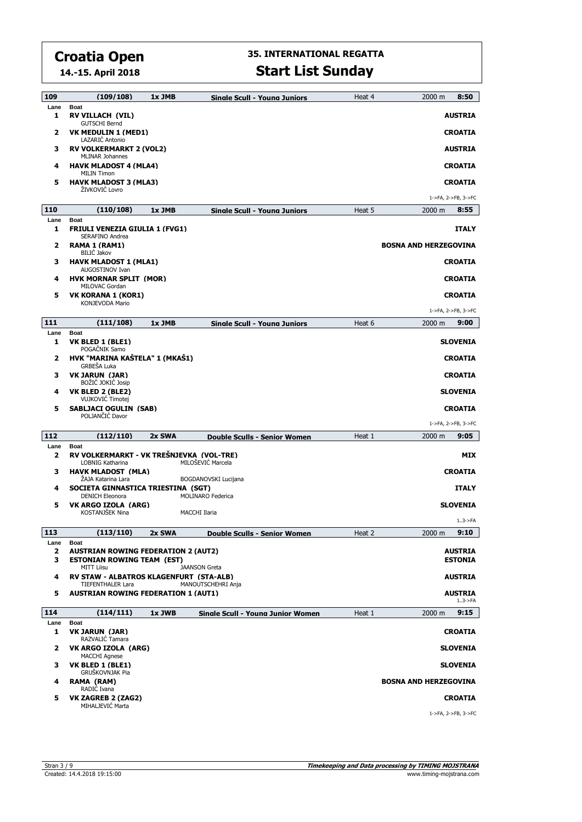**14.-15. April 2018**

| 109       | (109/108)                                                                                            | 1x JMB | <b>Sinale Scull - Youna Juniors</b> | Heat 4 | 8:50<br>2000 m                   |
|-----------|------------------------------------------------------------------------------------------------------|--------|-------------------------------------|--------|----------------------------------|
| Lane<br>1 | <b>Boat</b><br>RV VILLACH (VIL)<br><b>GUTSCHI Bernd</b>                                              |        |                                     |        | <b>AUSTRIA</b>                   |
| 2         | VK MEDULIN 1 (MED1)<br>LAZARIC Antonio                                                               |        |                                     |        | <b>CROATIA</b>                   |
| з         | <b>RV VOLKERMARKT 2 (VOL2)</b><br><b>MLINAR Johannes</b>                                             |        |                                     |        | <b>AUSTRIA</b>                   |
| 4         | <b>HAVK MLADOST 4 (MLA4)</b><br><b>MILIN Timon</b>                                                   |        |                                     |        | <b>CROATIA</b>                   |
| 5         | <b>HAVK MLADOST 3 (MLA3)</b><br>ŽIVKOVIĆ Lovro                                                       |        |                                     |        | <b>CROATIA</b>                   |
|           |                                                                                                      |        |                                     |        | 1->FA, 2->FB, 3->FC              |
| 110       | (110/108)                                                                                            | 1x JMB | Sinale Scull - Youna Juniors        | Heat 5 | 2000 m<br>8:55                   |
| Lane<br>1 | <b>Boat</b><br><b>FRIULI VENEZIA GIULIA 1 (FVG1)</b><br>SERAFINO Andrea                              |        |                                     |        | <b>ITALY</b>                     |
| 2         | RAMA 1 (RAM1)                                                                                        |        |                                     |        | <b>BOSNA AND HERZEGOVINA</b>     |
| з         | <b>BILIĆ Jakov</b><br><b>HAVK MLADOST 1 (MLA1)</b><br>AUGOSTINOV Ivan                                |        |                                     |        | <b>CROATIA</b>                   |
| 4         | <b>HVK MORNAR SPLIT (MOR)</b><br>MILOVAC Gordan                                                      |        |                                     |        | <b>CROATIA</b>                   |
| 5         | VK KORANA 1 (KOR1)<br>KONJEVODA Mario                                                                |        |                                     |        | <b>CROATIA</b>                   |
|           |                                                                                                      |        |                                     |        | 1->FA, 2->FB, 3->FC              |
| 111       | (111/108)                                                                                            | 1x JMB | <b>Sinale Scull - Youna Juniors</b> | Heat 6 | 9:00<br>2000 m                   |
| Lane<br>1 | <b>Boat</b><br>VK BLED 1 (BLE1)<br>POGAČNIK Samo                                                     |        |                                     |        | <b>SLOVENIA</b>                  |
| 2         | HVK "MARINA KAŠTELA" 1 (MKAŠ1)<br>GRBEŠA Luka                                                        |        |                                     |        | <b>CROATIA</b>                   |
| з         | <b>VK JARUN (JAR)</b><br>BOŽIĆ JOKIĆ Josip                                                           |        |                                     |        | <b>CROATIA</b>                   |
| 4         | VK BLED 2 (BLE2)<br>VUJKOVIĆ Timotej                                                                 |        |                                     |        | <b>SLOVENIA</b>                  |
| 5         | <b>SABLJACI OGULIN (SAB)</b><br>POLJANČIĆ Davor                                                      |        |                                     |        | <b>CROATIA</b>                   |
|           |                                                                                                      |        |                                     |        | 1->FA, 2->FB, 3->FC              |
| 112       | (112/110)                                                                                            | 2x SWA | Double Sculls - Senior Women        | Heat 1 | $2000 \; \text{m}$<br>9:05       |
| Lane<br>2 | <b>Boat</b><br>RV VOLKERMARKT - VK TREŠNJEVKA (VOL-TRE)<br>LOBNIG Katharina                          |        | MILOŠEVIĆ Marcela                   |        | MIX                              |
| з         | <b>HAVK MLADOST (MLA)</b><br>ŽAJA Katarina Lara                                                      |        | BOGDANOVSKI Lucijana                |        | <b>CROATIA</b>                   |
| 4         | SOCIETA GINNASTICA TRIESTINA (SGT)                                                                   |        |                                     |        | <b>ITALY</b>                     |
| 5         | <b>DENICH Eleonora</b><br>VK ARGO IZOLA (ARG)                                                        |        | MOLINARO Federica                   |        | <b>SLOVENIA</b>                  |
|           | KOSTANJŠEK Nina                                                                                      |        | MACCHI Ilaria                       |        | $1.3$ ->FA                       |
| 113       | (113/110)                                                                                            | 2x SWA | Double Sculls - Senior Women        | Heat 2 | 9:10<br>2000 m                   |
| Lane      | <b>Boat</b>                                                                                          |        |                                     |        |                                  |
| 2<br>з    | <b>AUSTRIAN ROWING FEDERATION 2 (AUT2)</b><br><b>ESTONIAN ROWING TEAM (EST)</b><br><b>MITT Liisu</b> |        | <b>JAANSON Greta</b>                |        | <b>AUSTRIA</b><br><b>ESTONIA</b> |
| 4         | <b>RV STAW - ALBATROS KLAGENFURT (STA-ALB)</b><br><b>TIEFENTHALER Lara</b>                           |        | MANOUTSCHEHRI Anja                  |        | AUSTRIA                          |
| 5         | <b>AUSTRIAN ROWING FEDERATION 1 (AUT1)</b>                                                           |        |                                     |        | <b>AUSTRIA</b><br>$1.3$ ->FA     |
| 114       | (114/111)                                                                                            | 1x JWB | Sinale Scull - Youna Junior Women   | Heat 1 | 9:15<br>2000 m                   |
| Lane<br>1 | <b>Boat</b>                                                                                          |        |                                     |        |                                  |
|           | VK JARUN (JAR)                                                                                       |        |                                     |        | <b>CROATIA</b>                   |
| 2         | RAZVALIĆ Tamara<br>VK ARGO IZOLA (ARG)                                                               |        |                                     |        | <b>SLOVENIA</b>                  |
| з         | <b>MACCHI Agnese</b><br>VK BLED 1 (BLE1)                                                             |        |                                     |        | <b>SLOVENIA</b>                  |
| 4         | GRUŠKOVNJAK Pia<br>RAMA (RAM)                                                                        |        |                                     |        | <b>BOSNA AND HERZEGOVINA</b>     |
| 5         | RADIC Ivana<br><b>VK ZAGREB 2 (ZAG2)</b><br>MIHALJEVIĆ Marta                                         |        |                                     |        | <b>CROATIA</b>                   |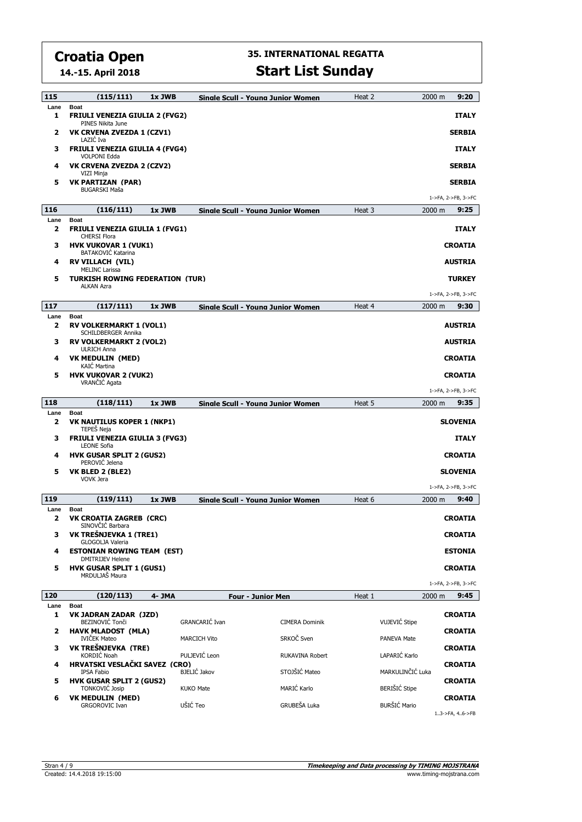**14.-15. April 2018**

| 115                  | (115/111)                                                                 | 1x JWB |                       | Sinale Scull - Youna Junior Women        | Heat 2 | 9:20<br>2000 m                         |
|----------------------|---------------------------------------------------------------------------|--------|-----------------------|------------------------------------------|--------|----------------------------------------|
| Lane<br>1            | <b>Boat</b><br><b>FRIULI VENEZIA GIULIA 2 (FVG2)</b><br>PINES Nikita June |        |                       |                                          |        | <b>ITALY</b>                           |
| 2                    | VK CRVENA ZVEZDA 1 (CZV1)<br>LAZIC Iva                                    |        |                       |                                          |        | <b>SERBIA</b>                          |
| 3                    | <b>FRIULI VENEZIA GIULIA 4 (FVG4)</b>                                     |        |                       |                                          |        | <b>ITALY</b>                           |
| 4                    | <b>VOLPONI Edda</b><br>VK CRVENA ZVEZDA 2 (CZV2)<br>VIZI Minja            |        |                       |                                          |        | <b>SERBIA</b>                          |
| 5                    | <b>VK PARTIZAN (PAR)</b><br><b>BUGARSKI Maša</b>                          |        |                       |                                          |        | <b>SERBIA</b>                          |
|                      |                                                                           |        |                       |                                          |        | 1->FA, 2->FB, 3->FC                    |
| 116<br>Lane          | (116/111)<br><b>Boat</b>                                                  | 1x JWB |                       | Single Scull - Young Junior Women        | Heat 3 | 2000 m<br>9:25                         |
| 2                    | <b>FRIULI VENEZIA GIULIA 1 (FVG1)</b><br><b>CHERSI Flora</b>              |        |                       |                                          |        | <b>ITALY</b>                           |
| з                    | <b>HVK VUKOVAR 1 (VUK1)</b><br><b>BATAKOVIĆ Katarina</b>                  |        |                       |                                          |        | <b>CROATIA</b>                         |
| 4                    | <b>RV VILLACH (VIL)</b><br><b>MELINC Larissa</b>                          |        |                       |                                          |        | <b>AUSTRIA</b>                         |
| 5                    | <b>TURKISH ROWING FEDERATION (TUR)</b><br><b>ALKAN Azra</b>               |        |                       |                                          |        | <b>TURKEY</b>                          |
|                      |                                                                           |        |                       |                                          |        | 1->FA, 2->FB, 3->FC                    |
| 117                  | (117/111)                                                                 | 1x JWB |                       | <b>Sinale Scull - Youna Junior Women</b> | Heat 4 | 2000 m<br>9:30                         |
| Lane<br>2            | <b>Boat</b><br><b>RV VOLKERMARKT 1 (VOL1)</b><br>SCHILDBERGER Annika      |        |                       |                                          |        | <b>AUSTRIA</b>                         |
| з                    | <b>RV VOLKERMARKT 2 (VOL2)</b><br><b>ULRICH Anna</b>                      |        |                       |                                          |        | <b>AUSTRIA</b>                         |
| 4                    | <b>VK MEDULIN (MED)</b><br><b>KAIC Martina</b>                            |        |                       |                                          |        | <b>CROATIA</b>                         |
| 5                    | <b>HVK VUKOVAR 2 (VUK2)</b><br>VRANČIĆ Agata                              |        |                       |                                          |        | <b>CROATIA</b><br>1->FA, 2->FB, 3->FC  |
| 118                  | (118/111)                                                                 | 1x JWB |                       | Sinale Scull - Youna Junior Women        | Heat 5 | 2000 m<br>9:35                         |
| Lane<br>$\mathbf{2}$ | <b>Boat</b><br><b>VK NAUTILUS KOPER 1 (NKP1)</b>                          |        |                       |                                          |        | <b>SLOVENIA</b>                        |
| з                    | TEPEŠ Neja<br><b>FRIULI VENEZIA GIULIA 3 (FVG3)</b>                       |        |                       |                                          |        | <b>ITALY</b>                           |
| 4                    | <b>LEONE Sofia</b><br><b>HVK GUSAR SPLIT 2 (GUS2)</b>                     |        |                       |                                          |        | <b>CROATIA</b>                         |
| 5                    | PEROVIC Jelena<br>VK BLED 2 (BLE2)                                        |        |                       |                                          |        | <b>SLOVENIA</b>                        |
|                      | <b>VOVK Jera</b>                                                          |        |                       |                                          |        | 1->FA, 2->FB, 3->FC                    |
| 119                  | (119/111)                                                                 | 1x JWB |                       | Sinale Scull - Youna Junior Women        | Heat 6 | 2000 m<br>9:40                         |
| Lane<br>2            | <b>Boat</b><br><b>VK CROATIA ZAGREB (CRC)</b><br>SINOVČIĆ Barbara         |        |                       |                                          |        | <b>CROATIA</b>                         |
| з                    | VK TREŠNJEVKA 1 (TRE1)<br>GLOGOLJA Valeria                                |        |                       |                                          |        | <b>CROATIA</b>                         |
| 4                    | <b>ESTONIAN ROWING TEAM (EST)</b><br><b>DMITRIJEV Helene</b>              |        |                       |                                          |        | <b>ESTONIA</b>                         |
| 5                    | <b>HVK GUSAR SPLIT 1 (GUS1)</b><br>MRDULJAŠ Maura                         |        |                       |                                          |        | <b>CROATIA</b>                         |
|                      |                                                                           |        |                       |                                          |        | 1->FA, 2->FB, 3->FC                    |
| 120                  | (120/113)                                                                 | 4- JMA |                       | <b>Four - Junior Men</b>                 | Heat 1 | 2000 m<br>9:45                         |
| Lane<br>1            | <b>Boat</b><br>VK JADRAN ZADAR (JZD)<br>BEZINOVIĆ Tonči                   |        | <b>GRANCARIĆ</b> Ivan | <b>CIMERA Dominik</b>                    |        | <b>CROATIA</b><br>VUJEVIĆ Stipe        |
| $\overline{2}$       | <b>HAVK MLADOST (MLA)</b><br><b>IVIČEK Mateo</b>                          |        | <b>MARCICH Vito</b>   | SRKOČ Sven                               |        | <b>CROATIA</b><br>PANEVA Mate          |
| з                    | VK TREŠNJEVKA (TRE)<br>KORDIĆ Noah                                        |        | PULJEVIĆ Leon         | <b>RUKAVINA Robert</b>                   |        | <b>CROATIA</b><br>LAPARIĆ Karlo        |
| 4                    | HRVATSKI VESLAČKI SAVEZ (CRO)<br>IPSA Fabio                               |        | BJELIĆ Jakov          | STOJŠIĆ Mateo                            |        | <b>CROATIA</b><br>MARKULINČIĆ Luka     |
| 5                    | <b>HVK GUSAR SPLIT 2 (GUS2)</b><br><b>TONKOVIC Josip</b>                  |        | <b>KUKO Mate</b>      | MARIĆ Karlo                              |        | <b>CROATIA</b><br><b>BERIŠIĆ Stipe</b> |
| 6                    | <b>VK MEDULIN (MED)</b><br><b>GRGOROVIC Ivan</b>                          |        | UŠIĆ Teo              | GRUBEŠA Luka                             |        | CROATIA<br><b>BURŠIĆ Mario</b>         |
|                      |                                                                           |        |                       |                                          |        | 13->FA, 46->FB                         |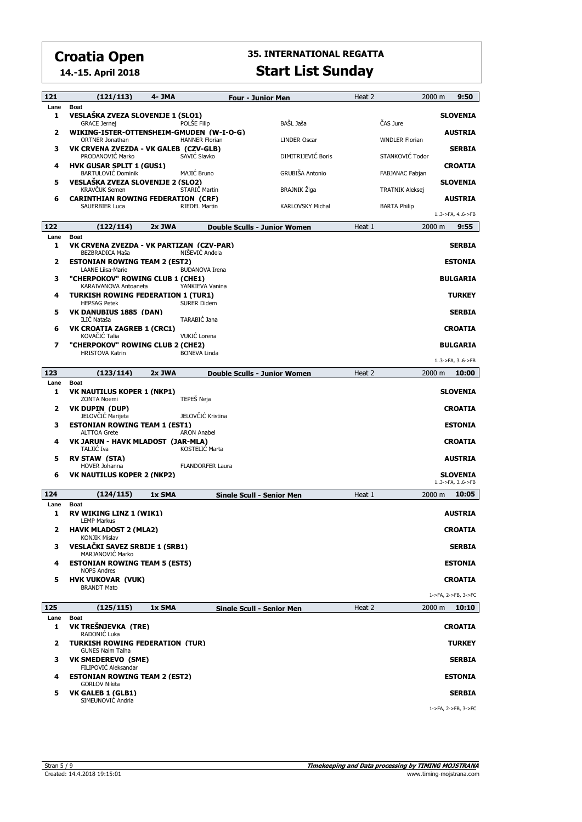**14.-15. April 2018**

| 121                     | (121/113)                                                               | 4- JMA |                         | <b>Four - Junior Men</b>         | Heat 2 | 2000 m                 | 9:50                              |
|-------------------------|-------------------------------------------------------------------------|--------|-------------------------|----------------------------------|--------|------------------------|-----------------------------------|
| Lane<br>1               | <b>Boat</b><br>VESLAŠKA ZVEZA SLOVENIJE 1 (SLO1)<br><b>GRACE Jernei</b> |        | POLŠE Filip             | BAŠL Jaša                        |        | ČAS Jure               | <b>SLOVENIA</b>                   |
| 2                       | WIKING-ISTER-OTTENSHEIM-GMUDEN (W-I-O-G)                                |        |                         |                                  |        |                        | <b>AUSTRIA</b>                    |
| з                       | <b>ORTNER Jonathan</b><br>VK CRVENA ZVEZDA - VK GALEB (CZV-GLB)         |        | <b>HANNER Florian</b>   | <b>LINDER Oscar</b>              |        | <b>WNDLER Florian</b>  | <b>SERBIA</b>                     |
| 4                       | PRODANOVIĆ Marko<br><b>HVK GUSAR SPLIT 1 (GUS1)</b>                     |        | SAVIĆ Slavko            | DIMITRIJEVIĆ Boris               |        | STANKOVIĆ Todor        | <b>CROATIA</b>                    |
| 5                       | <b>BARTULOVIĆ Dominik</b><br>VESLAŠKA ZVEZA SLOVENIJE 2 (SLO2)          |        | MAJIĆ Bruno             | <b>GRUBIŠA Antonio</b>           |        | FABJANAC Fabjan        | <b>SLOVENIA</b>                   |
| 6                       | <b>KRAVČUK Semen</b><br><b>CARINTHIAN ROWING FEDERATION (CRF)</b>       |        | STARIČ Martin           | BRAJNIK Žiga                     |        | <b>TRATNIK Aleksej</b> | <b>AUSTRIA</b>                    |
|                         | <b>SAUERBIER Luca</b>                                                   |        | <b>RIEDEL Martin</b>    | <b>KARLOVSKY Michal</b>          |        | <b>BARTA Philip</b>    | 13->FA, 46->FB                    |
| 122                     | (122/114)                                                               | 2x JWA |                         | Double Sculls - Junior Women     | Heat 1 | 2000 m                 | 9:55                              |
| Lane                    | <b>Boat</b>                                                             |        |                         |                                  |        |                        |                                   |
| 1                       | VK CRVENA ZVEZDA - VK PARTIZAN (CZV-PAR)<br>BEZBRADICA Maša             |        | NISEVIC Andela          |                                  |        |                        | <b>SERBIA</b>                     |
| $\mathbf{2}$            | <b>ESTONIAN ROWING TEAM 2 (EST2)</b><br><b>LAANE Liisa-Marie</b>        |        | <b>BUDANOVA Irena</b>   |                                  |        |                        | <b>ESTONIA</b>                    |
| з                       | "CHERPOKOV" ROWING CLUB 1 (CHE1)<br>KARAIVANOVA Antoaneta               |        | YANKIEVA Vanina         |                                  |        |                        | <b>BULGARIA</b>                   |
| 4                       | <b>TURKISH ROWING FEDERATION 1 (TUR1)</b>                               |        |                         |                                  |        |                        | <b>TURKEY</b>                     |
| 5                       | <b>HEPSAG Petek</b><br>VK DANUBIUS 1885 (DAN)                           |        | <b>SURER Didem</b>      |                                  |        |                        | <b>SERBIA</b>                     |
| 6                       | ILIČ Nataša<br><b>VK CROATIA ZAGREB 1 (CRC1)</b>                        |        | TARABIĆ Jana            |                                  |        |                        | <b>CROATIA</b>                    |
| $\overline{\mathbf{z}}$ | KOVAČIĆ Talia<br>"CHERPOKOV" ROWING CLUB 2 (CHE2)                       |        | VUKIĆ Lorena            |                                  |        |                        | <b>BULGARIA</b>                   |
|                         | <b>HRISTOVA Katrin</b>                                                  |        | <b>BONEVA Linda</b>     |                                  |        |                        | 13->FA, 36->FB                    |
| 123                     | (123/114)                                                               | 2x JWA |                         | Double Sculls - Junior Women     | Heat 2 | 2000 m                 | 10:00                             |
| Lane<br>1               | <b>Boat</b><br><b>VK NAUTILUS KOPER 1 (NKP1)</b>                        |        |                         |                                  |        |                        | <b>SLOVENIA</b>                   |
|                         | <b>ZONTA Noemi</b>                                                      |        | TEPEŠ Neja              |                                  |        |                        |                                   |
| $\mathbf{2}$            | <b>VK DUPIN (DUP)</b><br>JELOVČIĆ Marijeta                              |        | JELOVČIĆ Kristina       |                                  |        |                        | <b>CROATIA</b>                    |
| з                       | <b>ESTONIAN ROWING TEAM 1 (EST1)</b><br><b>ALTTOA Grete</b>             |        | <b>ARON Anabel</b>      |                                  |        |                        | <b>ESTONIA</b>                    |
| 4                       | VK JARUN - HAVK MLADOST (JAR-MLA)<br>TALJIĆ Iva                         |        | <b>KOSTELIC Marta</b>   |                                  |        |                        | <b>CROATIA</b>                    |
| 5                       | <b>RV STAW (STA)</b><br><b>HOVER Johanna</b>                            |        | <b>FLANDORFER Laura</b> |                                  |        |                        | <b>AUSTRIA</b>                    |
| 6                       | VK NAUTILUS KOPER 2 (NKP2)                                              |        |                         |                                  |        |                        | <b>SLOVENIA</b><br>13->FA, 36->FB |
| 124                     | (124/115)                                                               | 1x SMA |                         | <b>Single Scull - Senior Men</b> | Heat 1 | 2000 m                 | 10:05                             |
| Lane<br>1               | <b>Boat</b><br><b>RV WIKING LINZ 1 (WIK1)</b>                           |        |                         |                                  |        |                        | <b>AUSTRIA</b>                    |
| 2                       | <b>LEMP Markus</b><br><b>HAVK MLADOST 2 (MLA2)</b>                      |        |                         |                                  |        |                        | <b>CROATIA</b>                    |
| з                       | <b>KONJIK Mislav</b><br>VESLAČKI SAVEZ SRBIJE 1 (SRB1)                  |        |                         |                                  |        |                        | <b>SERBIA</b>                     |
| 4                       | MARJANOVIĆ Marko<br><b>ESTONIAN ROWING TEAM 5 (EST5)</b>                |        |                         |                                  |        |                        | <b>ESTONIA</b>                    |
| 5                       | <b>NOPS Andres</b><br><b>HVK VUKOVAR (VUK)</b>                          |        |                         |                                  |        |                        | <b>CROATIA</b>                    |
|                         | <b>BRANDT Mato</b>                                                      |        |                         |                                  |        |                        | 1->FA, 2->FB, 3->FC               |
| 125                     | (125/115)                                                               | 1x SMA |                         | Sinale Scull - Senior Men        | Heat 2 | 2000 m                 | 10:10                             |
| Lane<br>1               | <b>Boat</b><br>VK TREŠNJEVKA (TRE)                                      |        |                         |                                  |        |                        | <b>CROATIA</b>                    |
| $\overline{2}$          | RADONIĆ Luka<br><b>TURKISH ROWING FEDERATION (TUR)</b>                  |        |                         |                                  |        |                        | <b>TURKEY</b>                     |
| 3                       | <b>GUNES Naim Talha</b><br><b>VK SMEDEREVO (SME)</b>                    |        |                         |                                  |        |                        | <b>SERBIA</b>                     |
| 4                       | FILIPOVIC Aleksandar<br><b>ESTONIAN ROWING TEAM 2 (EST2)</b>            |        |                         |                                  |        |                        | <b>ESTONIA</b>                    |
| 5                       | <b>GORLOV Nikita</b><br>VK GALEB 1 (GLB1)                               |        |                         |                                  |        |                        | <b>SERBIA</b>                     |
|                         | SIMEUNOVIC Andria                                                       |        |                         |                                  |        |                        | 1->FA, 2->FB, 3->FC               |
|                         |                                                                         |        |                         |                                  |        |                        |                                   |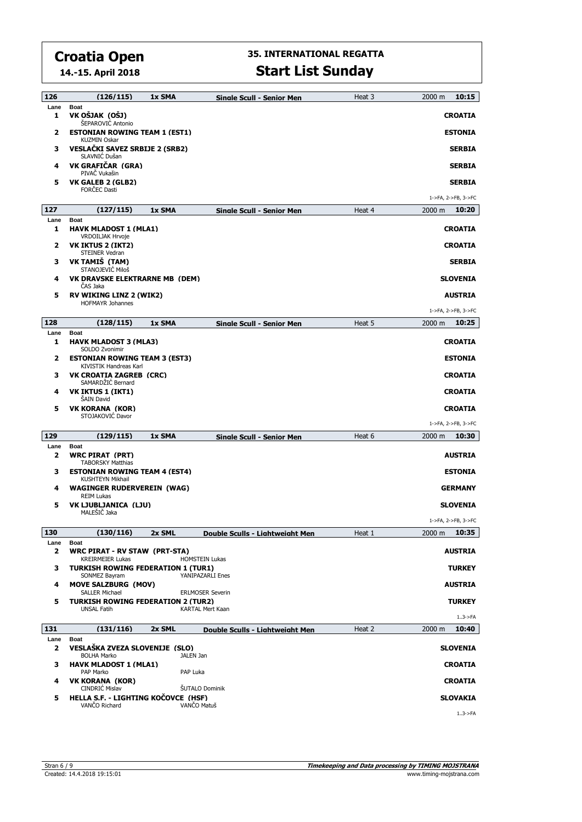**14.-15. April 2018**

| 126         | (126/115)                                                             | 1x SMA | <b>Sinale Scull - Senior Men</b> | Heat 3 | 10:15<br>2000 m            |
|-------------|-----------------------------------------------------------------------|--------|----------------------------------|--------|----------------------------|
| Lane<br>1   | <b>Boat</b><br>VK OŠJAK (OŠJ)<br>ŠEPAROVIĆ Antonio                    |        |                                  |        | <b>CROATIA</b>             |
| 2           | <b>ESTONIAN ROWING TEAM 1 (EST1)</b><br><b>KUZMIN Oskar</b>           |        |                                  |        | <b>ESTONIA</b>             |
| з           | VESLAČKI SAVEZ SRBIJE 2 (SRB2)<br>SLAVNIĆ Dušan                       |        |                                  |        | <b>SERBIA</b>              |
| 4           | VK GRAFIČAR (GRA)<br>PIVAČ Vukašin                                    |        |                                  |        | <b>SERBIA</b>              |
| 5           | <b>VK GALEB 2 (GLB2)</b><br><b>FORČEC Dasti</b>                       |        |                                  |        | <b>SERBIA</b>              |
|             |                                                                       |        |                                  |        | 1->FA, 2->FB, 3->FC        |
| 127         | (127/115)                                                             | 1x SMA | <b>Single Scull - Senior Men</b> | Heat 4 | 2000 m<br>10:20            |
| Lane<br>1   | <b>Boat</b><br><b>HAVK MLADOST 1 (MLA1)</b><br>VRDOILJAK Hrvoje       |        |                                  |        | <b>CROATIA</b>             |
| 2           | VK IKTUS 2 (IKT2)                                                     |        |                                  |        | <b>CROATIA</b>             |
| з           | STEINER Vedran<br>VK TAMIŠ (TAM)<br>STANOJEVIĆ Miloš                  |        |                                  |        | <b>SERBIA</b>              |
| 4           | VK DRAVSKE ELEKTRARNE MB (DEM)<br>ČAS Jaka                            |        |                                  |        | <b>SLOVENIA</b>            |
| 5           | <b>RV WIKING LINZ 2 (WIK2)</b>                                        |        |                                  |        | <b>AUSTRIA</b>             |
|             | <b>HOFMAYR Johannes</b>                                               |        |                                  |        | 1->FA, 2->FB, 3->FC        |
| 128         | (128/115)                                                             | 1x SMA | Single Scull - Senior Men        | Heat 5 | 10:25<br>$2000 \; m$       |
| Lane        | <b>Boat</b>                                                           |        |                                  |        |                            |
| 1           | <b>HAVK MLADOST 3 (MLA3)</b><br>SOLDO Zvonimir                        |        |                                  |        | <b>CROATIA</b>             |
| 2           | <b>ESTONIAN ROWING TEAM 3 (EST3)</b><br><b>KIVISTIK Handreas Karl</b> |        |                                  |        | <b>ESTONIA</b>             |
| з           | <b>VK CROATIA ZAGREB (CRC)</b><br>SAMARDŽIĆ Bernard                   |        |                                  |        | <b>CROATIA</b>             |
| 4           | <b>VK IKTUS 1 (IKT1)</b><br>ŠAIN David                                |        |                                  |        | <b>CROATIA</b>             |
| 5           | <b>VK KORANA (KOR)</b><br>STOJAKOVIĆ Davor                            |        |                                  |        | <b>CROATIA</b>             |
|             |                                                                       |        |                                  |        | 1->FA, 2->FB, 3->FC        |
| 129         | (129/115)                                                             | 1x SMA | <b>Single Scull - Senior Men</b> | Heat 6 | 2000 m<br>10:30            |
| Lane<br>2   | <b>Boat</b><br><b>WRC PIRAT (PRT)</b><br><b>TABORSKY Matthias</b>     |        |                                  |        | <b>AUSTRIA</b>             |
| з           | <b>ESTONIAN ROWING TEAM 4 (EST4)</b><br><b>KUSHTEYN Mikhail</b>       |        |                                  |        | <b>ESTONIA</b>             |
| 4           | <b>WAGINGER RUDERVEREIN (WAG)</b><br><b>REIM Lukas</b>                |        |                                  |        | <b>GERMANY</b>             |
| 5           | VK LJUBLJANICA (LJU)<br>MALEŠIČ Jaka                                  |        |                                  |        | <b>SLOVENIA</b>            |
|             |                                                                       |        |                                  |        | 1->FA, 2->FB, 3->FC        |
| 130<br>Lane | (130/116)<br>Boat                                                     | 2x SML | Double Sculls - Liahtweiaht Men  | Heat 1 | 10:35<br>2000 m            |
| 2           | <b>WRC PIRAT - RV STAW (PRT-STA)</b><br><b>KREIRMEIER Lukas</b>       |        | <b>HOMSTEIN Lukas</b>            |        | <b>AUSTRIA</b>             |
| з           | <b>TURKISH ROWING FEDERATION 1 (TUR1)</b><br>SONMEZ Bayram            |        | YANIPAZARLI Enes                 |        | <b>TURKEY</b>              |
| 4           | <b>MOVE SALZBURG (MOV)</b><br><b>SALLER Michael</b>                   |        | <b>ERLMOSER Severin</b>          |        | <b>AUSTRIA</b>             |
| 5           | <b>TURKISH ROWING FEDERATION 2 (TUR2)</b><br><b>UNSAL Fatih</b>       |        | <b>KARTAL Mert Kaan</b>          |        | <b>TURKEY</b><br>$13$ ->FA |
| 131         | (131/116)                                                             | 2x SML | Double Sculls - Liahtweiaht Men  | Heat 2 | 10:40<br>2000 m            |
| Lane<br>2   | Boat<br>VESLAŠKA ZVEZA SLOVENIJE (SLO)                                |        |                                  |        | <b>SLOVENIA</b>            |
| з           | <b>BOLHA Marko</b><br><b>HAVK MLADOST 1 (MLA1)</b>                    |        | JALEN Jan                        |        | <b>CROATIA</b>             |
|             | PAP Marko                                                             |        | PAP Luka                         |        |                            |
| 4           | VK KORANA (KOR)<br>CINDRIC Mislav                                     |        | <b>ŠUTALO Dominik</b>            |        | <b>CROATIA</b>             |
| 5           | HELLA S.F. - LIGHTING KOČOVCE (HSF)<br>VANCO Richard                  |        | VANČO Matuš                      |        | <b>SLOVAKIA</b>            |
|             |                                                                       |        |                                  |        | $13$ ->FA                  |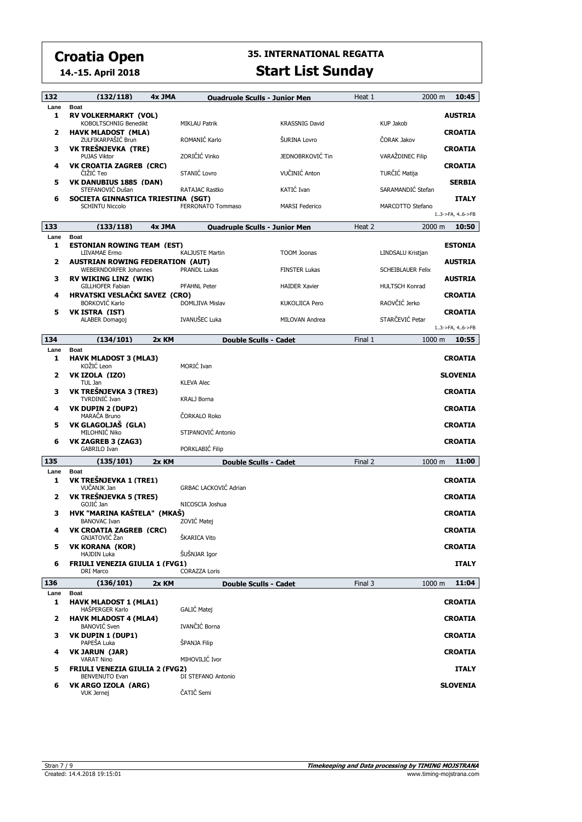**14.-15. April 2018**

| 132       | (132/118)                                                      | 4x JMA | <b>Ouadruple Sculls - Junior Men</b> |                       | Heat 1  | 2000 m                   | 10:45           |
|-----------|----------------------------------------------------------------|--------|--------------------------------------|-----------------------|---------|--------------------------|-----------------|
| Lane      | <b>Boat</b>                                                    |        |                                      |                       |         |                          |                 |
| 1         | RV VOLKERMARKT (VOL)<br><b>KOBOLTSCHNIG Benedikt</b>           |        | <b>MIKLAU Patrik</b>                 | <b>KRASSNIG David</b> |         | <b>KUP Jakob</b>         | <b>AUSTRIA</b>  |
| 2         | <b>HAVK MLADOST (MLA)</b><br>ZULFIKARPAŠIĆ Brun                |        | ROMANIĆ Karlo                        | ŠURINA Lovro          |         | ČORAK Jakov              | <b>CROATIA</b>  |
| з         | VK TREŠNJEVKA (TRE)<br><b>PUJAS Viktor</b>                     |        | ZORIČIĆ Vinko                        | JEDNOBRKOVIĆ Tin      |         | VARAŽDINEC Filip         | <b>CROATIA</b>  |
| 4         | VK CROATIA ZAGREB (CRC)<br>CIŽIĆ Teo                           |        | STANIĆ Lovro                         | VUČINIĆ Anton         |         | TURČIĆ Matija            | <b>CROATIA</b>  |
| 5         | VK DANUBIUS 1885 (DAN)<br>STEFANOVIĆ Dušan                     |        | RATAJAC Rastko                       | KATIĆ Ivan            |         | SARAMANDIĆ Stefan        | <b>SERBIA</b>   |
| 6         | SOCIETA GINNASTICA TRIESTINA (SGT)<br><b>SCHINTU Niccolo</b>   |        | FERRONATO Tommaso                    | <b>MARSI Federico</b> |         | MARCOTTO Stefano         | <b>ITALY</b>    |
|           |                                                                |        |                                      |                       |         |                          | 13->FA, 46->FB  |
| 133       | (133/118)                                                      | 4x JMA | <b>Ouadruple Sculls - Junior Men</b> |                       | Heat 2  | 2000 m                   | 10:50           |
| Lane<br>1 | <b>Boat</b><br><b>ESTONIAN ROWING TEAM (EST)</b>               |        |                                      |                       |         |                          | <b>ESTONIA</b>  |
| 2         | LIIVAMAE Ermo<br><b>AUSTRIAN ROWING FEDERATION (AUT)</b>       |        | KALJUSTE Martin                      | <b>TOOM Joonas</b>    |         | LINDSALU Kristjan        | <b>AUSTRIA</b>  |
| з         | <b>WEBERNDORFER Johannes</b><br>RV WIKING LINZ (WIK)           |        | <b>PRANDL Lukas</b>                  | <b>FINSTER Lukas</b>  |         | <b>SCHEIBLAUER Felix</b> | <b>AUSTRIA</b>  |
| 4         | GILLHOFER Fabian<br>HRVATSKI VESLAČKI SAVEZ (CRO)              |        | <b>PFAHNL Peter</b>                  | <b>HAIDER Xavier</b>  |         | <b>HULTSCH Konrad</b>    | CROATIA         |
| 5         | <b>BORKOVIĆ Karlo</b><br>VK ISTRA (IST)                        |        | DOMLJIVA Mislav                      | <b>KUKOLJICA Pero</b> |         | RAOVČIĆ Jerko            | <b>CROATIA</b>  |
|           | <b>ALABER Domagoj</b>                                          |        | IVANUŠEC Luka                        | MILOVAN Andrea        |         | STARČEVIĆ Petar          | 13->FA, 46->FB  |
| 134       | (134/101)                                                      | 2x KM  | <b>Double Sculls - Cadet</b>         |                       | Final 1 | $1000 \text{ m}$         | 10:55           |
| Lane      | <b>Boat</b>                                                    |        |                                      |                       |         |                          |                 |
| 1         | <b>HAVK MLADOST 3 (MLA3)</b><br>KOŽIĆ Leon                     |        | MORIĆ Ivan                           |                       |         |                          | CROATIA         |
| 2         | VK IZOLA (IZO)<br>TUL Jan                                      |        | <b>KLEVA Alec</b>                    |                       |         |                          | <b>SLOVENIA</b> |
| з         | VK TREŠNJEVKA 3 (TRE3)<br><b>TVRDINIC Ivan</b>                 |        | KRALJ Borna                          |                       |         |                          | <b>CROATIA</b>  |
| 4         | VK DUPIN 2 (DUP2)<br>MARAČA Bruno                              |        | ČORKALO Roko                         |                       |         |                          | <b>CROATIA</b>  |
| 5         | VK GLAGOLJAŠ (GLA)<br>MILOHNIĆ Niko                            |        | STIPANOVIĆ Antonio                   |                       |         |                          | <b>CROATIA</b>  |
| 6         | VK ZAGREB 3 (ZAG3)<br>GABRILO Ivan                             |        | PORKLABIĆ Filip                      |                       |         |                          | <b>CROATIA</b>  |
| 135       | (135/101)                                                      | 2x KM  | Double Sculls - Cadet                |                       | Final 2 | 1000 m                   | 11:00           |
| Lane      | <b>Boat</b>                                                    |        |                                      |                       |         |                          |                 |
| 1         | VK TREŠNJEVKA 1 (TRE1)<br>VUCANJK Jan                          |        | <b>GRBAC LACKOVIĆ Adrian</b>         |                       |         |                          | CROATIA         |
| 2         | VK TREŠNJEVKA 5 (TRE5)<br>GOJIĆ Jan                            |        | NICOSCIA Joshua                      |                       |         |                          | CROATIA         |
| з         | HVK "MARINA KAŠTELA" (MKAŠ)<br><b>BANOVAC Ivan</b>             |        | ZOVIĆ Matej                          |                       |         |                          | <b>CROATIA</b>  |
|           | <b>VK CROATIA ZAGREB (CRC)</b><br>GNJATOVIĆ Žan                |        | ŠKARICA Vito                         |                       |         |                          | CROATIA         |
| 5         | <b>VK KORANA (KOR)</b><br><b>HAJDIN Luka</b>                   |        | ŠUŠNJAR Igor                         |                       |         |                          | <b>CROATIA</b>  |
| 6         | <b>FRIULI VENEZIA GIULIA 1 (FVG1)</b><br>DRI Marco             |        | <b>CORAZZA Loris</b>                 |                       |         |                          | <b>ITALY</b>    |
| 136       | (136/101)                                                      | 2x KM  | <b>Double Sculls - Cadet</b>         |                       | Final 3 | 1000 m                   | 11:04           |
| Lane      | <b>Boat</b>                                                    |        |                                      |                       |         |                          |                 |
| 1         | <b>HAVK MLADOST 1 (MLA1)</b><br>HAŠPERGER Karlo                |        | GALIĆ Matei                          |                       |         |                          | <b>CROATIA</b>  |
| 2         | <b>HAVK MLADOST 4 (MLA4)</b><br><b>BANOVIĆ Sven</b>            |        | IVANČIĆ Borna                        |                       |         |                          | CROATIA         |
| з         | VK DUPIN 1 (DUP1)<br>PAPEŠA Luka                               |        | ŠPANJA Filip                         |                       |         |                          | CROATIA         |
| 4         | <b>VK JARUN (JAR)</b><br><b>VARAT Nino</b>                     |        | MIHOVILIĆ Ivor                       |                       |         |                          | <b>CROATIA</b>  |
| 5         | <b>FRIULI VENEZIA GIULIA 2 (FVG2)</b><br><b>BENVENUTO Evan</b> |        | DI STEFANO Antonio                   |                       |         |                          | <b>ITALY</b>    |
| 6         | VK ARGO IZOLA (ARG)                                            |        |                                      |                       |         |                          | <b>SLOVENIA</b> |
|           | <b>VUK Jernej</b>                                              |        | ČATIČ Semi                           |                       |         |                          |                 |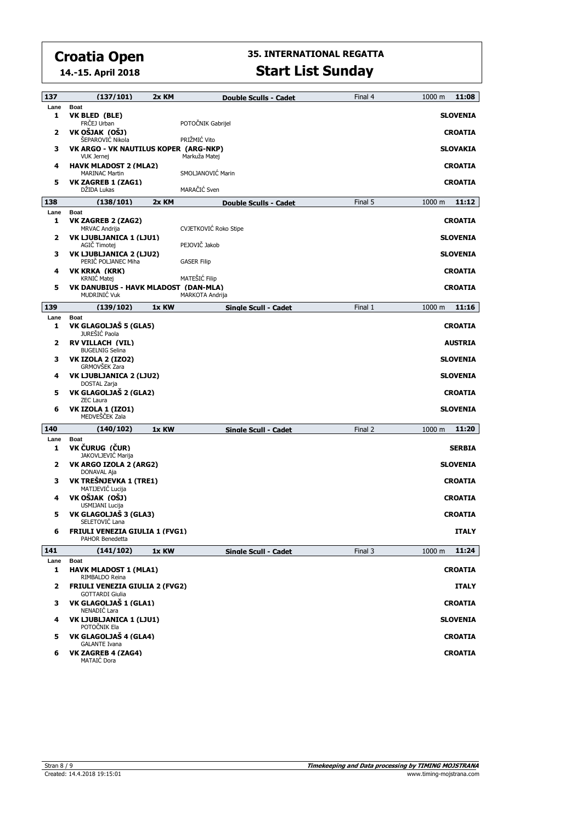**14.-15. April 2018**

| 137                     | (137/101)                                                       | 2x KM | Double Sculls - Cadet | Final 4 | 11:08<br>1000 m           |
|-------------------------|-----------------------------------------------------------------|-------|-----------------------|---------|---------------------------|
| Lane                    | <b>Boat</b>                                                     |       |                       |         |                           |
| 1                       | VK BLED (BLE)<br>FRČEJ Urban                                    |       | POTOČNIK Gabrijel     |         | <b>SLOVENIA</b>           |
| $\mathbf{2}$            | VK OŠJAK (OŠJ)<br>ŠEPAROVIĆ Nikola                              |       | PRIŽMIĆ Vito          |         | <b>CROATIA</b>            |
| з                       | VK ARGO - VK NAUTILUS KOPER (ARG-NKP)<br><b>VUK Jernej</b>      |       | Markuža Matej         |         | <b>SLOVAKIA</b>           |
| 4                       | <b>HAVK MLADOST 2 (MLA2)</b><br><b>MARINAC Martin</b>           |       | SMOLJANOVIĆ Marin     |         | <b>CROATIA</b>            |
| 5                       | VK ZAGREB 1 (ZAG1)<br>DŽIDA Lukas                               |       | MARAČIĆ Sven          |         | <b>CROATIA</b>            |
| 138                     | (138/101)                                                       | 2x KM | Double Sculls - Cadet | Final 5 | 11:12<br>1000 m           |
| Lane                    | <b>Boat</b>                                                     |       |                       |         |                           |
| 1                       | VK ZAGREB 2 (ZAG2)<br><b>MRVAC Andrija</b>                      |       | CVJETKOVIĆ Roko Stipe |         | <b>CROATIA</b>            |
| $\overline{\mathbf{2}}$ | VK LJUBLJANICA 1 (LJU1)                                         |       |                       |         | <b>SLOVENIA</b>           |
| з                       | AGIČ Timotej<br>VK LJUBLJANICA 2 (LJU2)                         |       | PEJOVIČ Jakob         |         | <b>SLOVENIA</b>           |
| 4                       | PERIČ POLJANEC Miha<br><b>VK KRKA (KRK)</b>                     |       | <b>GASER Filip</b>    |         | <b>CROATIA</b>            |
|                         | <b>KRNIC Matej</b>                                              |       | MATEŠIĆ Filip         |         |                           |
| 5                       | VK DANUBIUS - HAVK MLADOST (DAN-MLA)<br><b>MUDRINIC Vuk</b>     |       | MARKOTA Andrija       |         | <b>CROATIA</b>            |
| 139                     | (139/102)                                                       | 1x KW | Single Scull - Cadet  | Final 1 | 11:16<br>1000 m           |
| Lane<br>1               | <b>Boat</b><br>VK GLAGOLJAŠ 5 (GLA5)                            |       |                       |         | <b>CROATIA</b>            |
|                         | JUREŠIĆ Paola<br><b>RV VILLACH (VIL)</b>                        |       |                       |         |                           |
| 2                       | <b>BUGELNIG Selina</b>                                          |       |                       |         | <b>AUSTRIA</b>            |
| з                       | <b>VK IZOLA 2 (IZO2)</b><br>GRMOVŠEK Zara                       |       |                       |         | <b>SLOVENIA</b>           |
| 4                       | VK LJUBLJANICA 2 (LJU2)<br>DOSTAL Zarja                         |       |                       |         | <b>SLOVENIA</b>           |
| 5                       | VK GLAGOLJAŠ 2 (GLA2)<br><b>ZEC Laura</b>                       |       |                       |         | <b>CROATIA</b>            |
| 6                       | <b>VK IZOLA 1 (IZO1)</b><br>MEDVEŠČEK Zala                      |       |                       |         | <b>SLOVENIA</b>           |
| 140                     | (140/102)                                                       | 1x KW | Single Scull - Cadet  | Final 2 | 11:20<br>1000 m           |
| Lane<br>1               | <b>Boat</b><br>VK ČURUG (ČUR)                                   |       |                       |         | <b>SERBIA</b>             |
| $\mathbf{2}$            | JAKOVLJEVIĆ Marija<br>VK ARGO IZOLA 2 (ARG2)                    |       |                       |         | <b>SLOVENIA</b>           |
| з                       | DONAVAL Aja<br>VK TREŠNJEVKA 1 (TRE1)<br>MATIJEVIĆ Lucija       |       |                       |         | <b>CROATIA</b>            |
| 4                       | VK OŠJAK (OŠJ)<br>USMIJANI Lucija                               |       |                       |         | <b>CROATIA</b>            |
| 5                       | VK GLAGOLJAŠ 3 (GLA3)<br>SELETOVIĆ Lana                         |       |                       |         | <b>CROATIA</b>            |
| 6                       | <b>FRIULI VENEZIA GIULIA 1 (FVG1)</b><br>PAHOR Benedetta        |       |                       |         | <b>ITALY</b>              |
| 141                     | (141/102)                                                       | 1x KW | Single Scull - Cadet  | Final 3 | 11:24<br>$1000 \text{ m}$ |
| Lane                    | <b>Boat</b>                                                     |       |                       |         |                           |
| 1                       | <b>HAVK MLADOST 1 (MLA1)</b><br>RIMBALDO Reina                  |       |                       |         | <b>CROATIA</b>            |
| $\overline{2}$          | <b>FRIULI VENEZIA GIULIA 2 (FVG2)</b><br><b>GOTTARDI Giulia</b> |       |                       |         | <b>ITALY</b>              |
| 3                       | VK GLAGOLJAŠ 1 (GLA1)<br>NENADIĆ Lara                           |       |                       |         | <b>CROATIA</b>            |
| 4                       | VK LJUBLJANICA 1 (LJU1)<br>POTOČNIK Ela                         |       |                       |         | SLOVENIA                  |
| 5                       | VK GLAGOLJAŠ 4 (GLA4)<br><b>GALANTE Ivana</b>                   |       |                       |         | <b>CROATIA</b>            |
| 6                       | VK ZAGREB 4 (ZAG4)<br>MATAIC Dora                               |       |                       |         | <b>CROATIA</b>            |